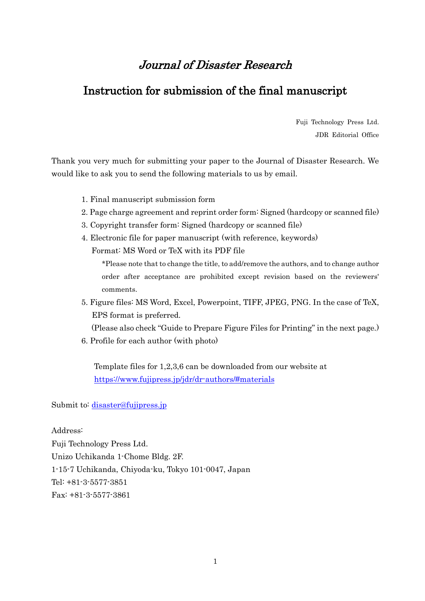# Journal of Disaster Research

### Instruction for submission of the final manuscript

Fuji Technology Press Ltd. JDR Editorial Office

Thank you very much for submitting your paper to the Journal of Disaster Research. We would like to ask you to send the following materials to us by email.

- 1. Final manuscript submission form
- 2. Page charge agreement and reprint order form: Signed (hardcopy or scanned file)
- 3. Copyright transfer form: Signed (hardcopy or scanned file)
- 4. Electronic file for paper manuscript (with reference, keywords) Format: MS Word or TeX with its PDF file

\*Please note that to change the title, to add/remove the authors, and to change author order after acceptance are prohibited except revision based on the reviewers' comments.

5. Figure files: MS Word, Excel, Powerpoint, TIFF, JPEG, PNG. In the case of TeX, EPS format is preferred.

(Please also check "Guide to Prepare Figure Files for Printing" in the next page.)

6. Profile for each author (with photo)

Template files for 1,2,3,6 can be downloaded from our website at <https://www.fujipress.jp/jdr/dr-authors/#materials>

Submit to: [disaster@fujipress.jp](mailto:disaster@fujipress.jp)

#### Address:

Fuji Technology Press Ltd. Unizo Uchikanda 1-Chome Bldg. 2F. 1-15-7 Uchikanda, Chiyoda-ku, Tokyo 101-0047, Japan Tel: +81-3-5577-3851 Fax: +81-3-5577-3861